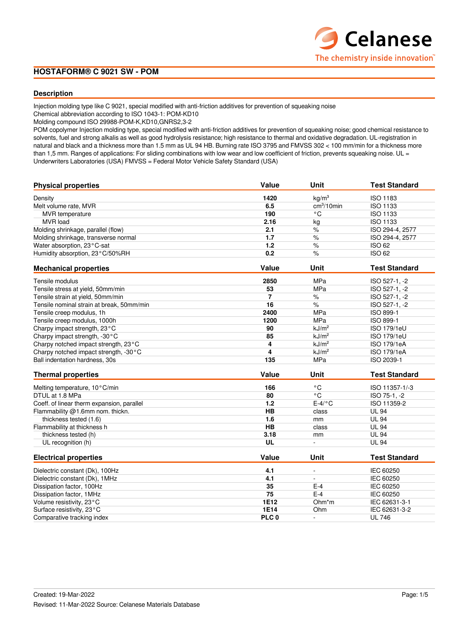## **HOSTAFORM® C 9021 SW - POM**

### **Description**

Injection molding type like C 9021, special modified with anti-friction additives for prevention of squeaking noise

Chemical abbreviation according to ISO 1043-1: POM-KD10

Molding compound ISO 29988-POM-K,KD10,GNRS2,3-2

POM copolymer Injection molding type, special modified with anti-friction additives for prevention of squeaking noise; good chemical resistance to solvents, fuel and strong alkalis as well as good hydrolysis resistance; high resistance to thermal and oxidative degradation. UL-registration in natural and black and a thickness more than 1.5 mm as UL 94 HB. Burning rate ISO 3795 and FMVSS 302 < 100 mm/min for a thickness more than 1,5 mm. Ranges of applications: For sliding combinations with low wear and low coefficient of friction, prevents squeaking noise. UL = Underwriters Laboratories (USA) FMVSS = Federal Motor Vehicle Safety Standard (USA)

| <b>Physical properties</b>                 | Value            | Unit              | <b>Test Standard</b> |
|--------------------------------------------|------------------|-------------------|----------------------|
| Density                                    | 1420             | kq/m <sup>3</sup> | ISO 1183             |
| Melt volume rate, MVR                      | 6.5              | $cm3/10$ min      | <b>ISO 1133</b>      |
| <b>MVR</b> temperature                     | 190              | $\circ$ C         | <b>ISO 1133</b>      |
| MVR load                                   | 2.16             | kg                | <b>ISO 1133</b>      |
| Molding shrinkage, parallel (flow)         | 2.1              | $\%$              | ISO 294-4, 2577      |
| Molding shrinkage, transverse normal       | 1.7              | $\%$              | ISO 294-4, 2577      |
| Water absorption, 23°C-sat                 | 1.2              | $\%$              | <b>ISO 62</b>        |
| Humidity absorption, 23°C/50%RH            | 0.2              | $\%$              | <b>ISO 62</b>        |
| <b>Mechanical properties</b>               | Value            | Unit              | <b>Test Standard</b> |
| Tensile modulus                            | 2850             | <b>MPa</b>        | ISO 527-1, -2        |
| Tensile stress at yield, 50mm/min          | 53               | MPa               | ISO 527-1, -2        |
| Tensile strain at yield, 50mm/min          | $\overline{7}$   | $\%$              | ISO 527-1, -2        |
| Tensile nominal strain at break, 50mm/min  | 16               | $\%$              | ISO 527-1, -2        |
| Tensile creep modulus, 1h                  | 2400             | <b>MPa</b>        | ISO 899-1            |
| Tensile creep modulus, 1000h               | 1200             | <b>MPa</b>        | ISO 899-1            |
| Charpy impact strength, 23°C               | 90               | kJ/m <sup>2</sup> | <b>ISO 179/1eU</b>   |
| Charpy impact strength, -30°C              | 85               | kJ/m <sup>2</sup> | <b>ISO 179/1eU</b>   |
| Charpy notched impact strength, 23°C       | 4                | kJ/m <sup>2</sup> | ISO 179/1eA          |
| Charpy notched impact strength, -30°C      | 4                | kJ/m <sup>2</sup> | <b>ISO 179/1eA</b>   |
| Ball indentation hardness, 30s             | 135              | MPa               | ISO 2039-1           |
| <b>Thermal properties</b>                  | Value            | <b>Unit</b>       | <b>Test Standard</b> |
| Melting temperature, 10°C/min              | 166              | $^{\circ}{\rm C}$ | ISO 11357-1/-3       |
| DTUL at 1.8 MPa                            | 80               | $^{\circ}$ C      | ISO 75-1, -2         |
| Coeff. of linear therm expansion, parallel | 1.2              | $E-4$ /°C         | ISO 11359-2          |
| Flammability @1.6mm nom. thickn.           | <b>HB</b>        | class             | <b>UL 94</b>         |
| thickness tested (1.6)                     | 1.6              | mm                | <b>UL 94</b>         |
| Flammability at thickness h                | <b>HB</b>        | class             | <b>UL 94</b>         |
| thickness tested (h)                       | 3.18             | mm                | <b>UL 94</b>         |
| UL recognition (h)                         | <b>UL</b>        | $\overline{a}$    | <b>UL 94</b>         |
| <b>Electrical properties</b>               | Value            | Unit              | <b>Test Standard</b> |
| Dielectric constant (Dk), 100Hz            | 4.1              | $\blacksquare$    | IEC 60250            |
| Dielectric constant (Dk), 1MHz             | 4.1              | ÷.                | IEC 60250            |
| Dissipation factor, 100Hz                  | 35               | $E-4$             | IEC 60250            |
| Dissipation factor, 1MHz                   | 75               | $E-4$             | IEC 60250            |
| Volume resistivity, 23°C                   | 1E12             | Ohm*m             | IEC 62631-3-1        |
| Surface resistivity, 23°C                  | 1E14             | Ohm               | IEC 62631-3-2        |
| Comparative tracking index                 | PLC <sub>0</sub> |                   | <b>UL 746</b>        |

**Celanese** 

The chemistry inside innovation"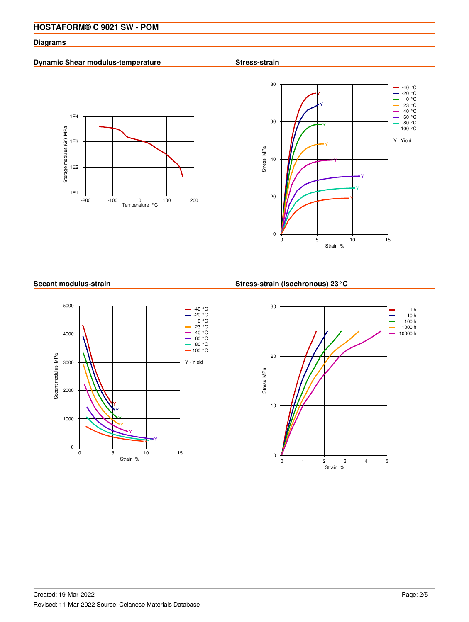## **Diagrams**

## **Dynamic Shear modulus-temperature**

**Stress-strain**





### **Secant modulus-strain**



## **Stress-strain (isochronous) 23°C**

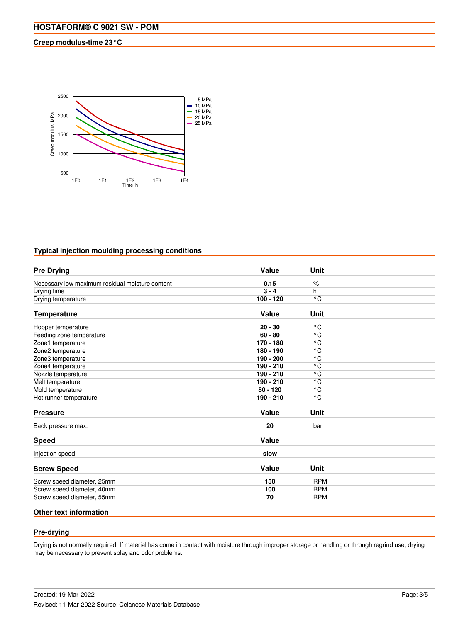## **Creep modulus-time 23°C**



## **Typical injection moulding processing conditions**

| <b>Pre Drying</b>                               | Value       | Unit         |  |
|-------------------------------------------------|-------------|--------------|--|
| Necessary low maximum residual moisture content | 0.15        | $\%$         |  |
| Drying time                                     | $3 - 4$     | h            |  |
| Drying temperature                              | $100 - 120$ | °C           |  |
| <b>Temperature</b>                              | Value       | Unit         |  |
| Hopper temperature                              | $20 - 30$   | $^{\circ}$ C |  |
| Feeding zone temperature                        | $60 - 80$   | $^{\circ}$ C |  |
| Zone1 temperature                               | 170 - 180   | $^{\circ}$ C |  |
| Zone2 temperature                               | 180 - 190   | $^{\circ}$ C |  |
| Zone3 temperature                               | 190 - 200   | $^{\circ}$ C |  |
| Zone4 temperature                               | 190 - 210   | $^{\circ}$ C |  |
| Nozzle temperature                              | 190 - 210   | $^{\circ}$ C |  |
| Melt temperature                                | 190 - 210   | °C           |  |
| Mold temperature                                | $80 - 120$  | $^{\circ}$ C |  |
| Hot runner temperature                          | 190 - 210   | $^{\circ}$ C |  |
| <b>Pressure</b>                                 | Value       | Unit         |  |
| Back pressure max.                              | 20          | bar          |  |
| <b>Speed</b>                                    | Value       |              |  |
| Injection speed                                 | slow        |              |  |
| <b>Screw Speed</b>                              | Value       | Unit         |  |
| Screw speed diameter, 25mm                      | 150         | <b>RPM</b>   |  |
| Screw speed diameter, 40mm                      | 100         | <b>RPM</b>   |  |
| Screw speed diameter, 55mm                      | 70          | <b>RPM</b>   |  |

### **Other text information**

### **Pre-drying**

Drying is not normally required. If material has come in contact with moisture through improper storage or handling or through regrind use, drying may be necessary to prevent splay and odor problems.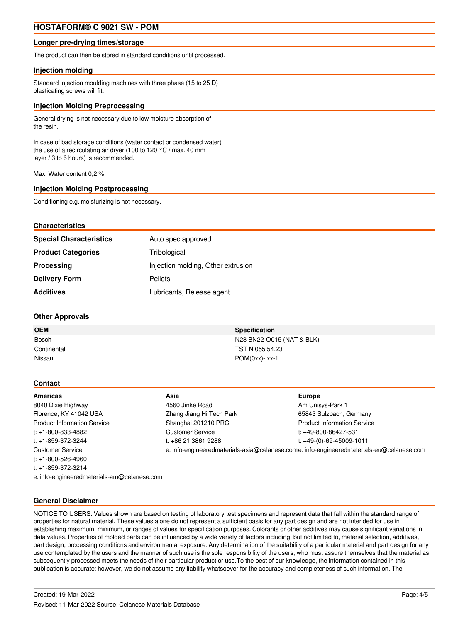# **HOSTAFORM® C 9021 SW - POM**

### **Longer pre-drying times/storage**

The product can then be stored in standard conditions until processed.

### **Injection molding**

Standard injection moulding machines with three phase (15 to 25 D) plasticating screws will fit.

### **Injection Molding Preprocessing**

General drying is not necessary due to low moisture absorption of the resin.

In case of bad storage conditions (water contact or condensed water) the use of a recirculating air dryer (100 to 120 °C / max. 40 mm layer / 3 to 6 hours) is recommended.

Max. Water content 0,2 %

### **Injection Molding Postprocessing**

Conditioning e.g. moisturizing is not necessary.

| <b>Characteristics</b>         |                                    |
|--------------------------------|------------------------------------|
| <b>Special Characteristics</b> | Auto spec approved                 |
| <b>Product Categories</b>      | Tribological                       |
| Processing                     | Injection molding, Other extrusion |
| <b>Delivery Form</b>           | <b>Pellets</b>                     |
| <b>Additives</b>               | Lubricants, Release agent          |
|                                |                                    |

### **Other Approvals**

| <b>OEM</b>  | <b>Specification</b>      |
|-------------|---------------------------|
| Bosch       | N28 BN22-O015 (NAT & BLK) |
| Continental | TST N 055 54.23           |
| Nissan      | $POM(0xx)$ - $1xx-1$      |

#### **Contact**

| Americas                                    | Asia                                                                                     | <b>Europe</b>                      |
|---------------------------------------------|------------------------------------------------------------------------------------------|------------------------------------|
| 8040 Dixie Highway                          | 4560 Jinke Road                                                                          | Am Unisys-Park 1                   |
| Florence, KY 41042 USA                      | Zhang Jiang Hi Tech Park                                                                 | 65843 Sulzbach, Germany            |
| <b>Product Information Service</b>          | Shanghai 201210 PRC                                                                      | <b>Product Information Service</b> |
| $t$ : +1-800-833-4882                       | <b>Customer Service</b>                                                                  | t: +49-800-86427-531               |
| $t$ : +1-859-372-3244                       | t: $+862138619288$                                                                       | t: $+49-(0)-69-45009-1011$         |
| <b>Customer Service</b>                     | e: info-engineeredmaterials-asia@celanese.come: info-engineeredmaterials-eu@celanese.com |                                    |
| $t$ : +1-800-526-4960                       |                                                                                          |                                    |
| $t: +1 - 859 - 372 - 3214$                  |                                                                                          |                                    |
| e: info-engineeredmaterials-am@celanese.com |                                                                                          |                                    |

#### **General Disclaimer**

NOTICE TO USERS: Values shown are based on testing of laboratory test specimens and represent data that fall within the standard range of properties for natural material. These values alone do not represent a sufficient basis for any part design and are not intended for use in establishing maximum, minimum, or ranges of values for specification purposes. Colorants or other additives may cause significant variations in data values. Properties of molded parts can be influenced by a wide variety of factors including, but not limited to, material selection, additives, part design, processing conditions and environmental exposure. Any determination of the suitability of a particular material and part design for any use contemplated by the users and the manner of such use is the sole responsibility of the users, who must assure themselves that the material as subsequently processed meets the needs of their particular product or use.To the best of our knowledge, the information contained in this publication is accurate; however, we do not assume any liability whatsoever for the accuracy and completeness of such information. The